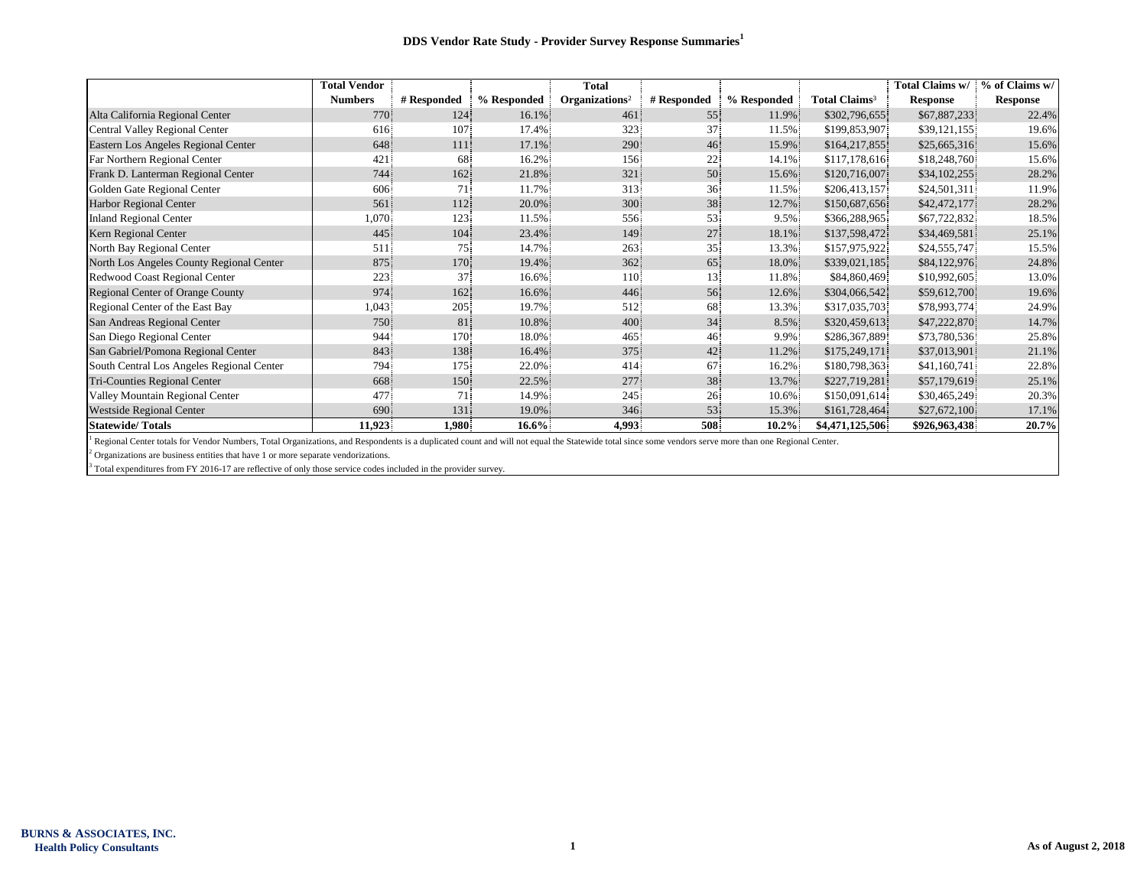|                                           | <b>Total Vendor</b> |             |             | <b>Total</b>               |             |             |                                 | Total Claims w/ | % of Claims w/  |
|-------------------------------------------|---------------------|-------------|-------------|----------------------------|-------------|-------------|---------------------------------|-----------------|-----------------|
|                                           | <b>Numbers</b>      | # Responded | % Responded | Organizations <sup>2</sup> | # Responded | % Responded | <b>Total Claims<sup>3</sup></b> | <b>Response</b> | <b>Response</b> |
| Alta California Regional Center           | 770                 | 124         | 16.1%       | 461                        | 55          | 11.9%       | \$302,796,655                   | \$67,887,233    | 22.4%           |
| Central Valley Regional Center            | 616                 | 107         | 17.4%       | 323                        | 37          | 11.5%       | \$199,853,907                   | \$39,121,155    | 19.6%           |
| Eastern Los Angeles Regional Center       | 648                 | 111         | 17.1%       | 290                        | 46          | 15.9%       | \$164,217,855                   | \$25,665,316    | 15.6%           |
| Far Northern Regional Center              | 421                 | 68          | 16.2%       | 156                        | 22          | 14.1%       | \$117,178,616                   | \$18,248,760    | 15.6%           |
| Frank D. Lanterman Regional Center        | 744                 | 162         | 21.8%       | 321                        | 50          | 15.6%       | \$120,716,007                   | \$34,102,255    | 28.2%           |
| Golden Gate Regional Center               | 606                 | 71.         | 11.7%       | 313                        | 36          | 11.5%       | \$206,413,157                   | \$24,501,311    | 11.9%           |
| Harbor Regional Center                    | 561                 | 112         | 20.0%       | 300                        | 38          | 12.7%       | \$150,687,656                   | \$42,472,177    | 28.2%           |
| <b>Inland Regional Center</b>             | 1,070               | 123         | 11.5%       | 556                        | 53          | 9.5%        | \$366,288,965                   | \$67,722,832    | 18.5%           |
| Kern Regional Center                      | 445                 | 104         | 23.4%       | 149                        | 27          | 18.1%       | \$137,598,472                   | \$34,469,581    | 25.1%           |
| North Bay Regional Center                 | 511                 | 75          | 14.7%       | 263                        | 35          | 13.3%       | \$157,975,922                   | \$24,555,747    | 15.5%           |
| North Los Angeles County Regional Center  | 875                 | 170         | 19.4%       | 362                        | 65          | 18.0%       | \$339,021,185                   | \$84,122,976    | 24.8%           |
| Redwood Coast Regional Center             | 223                 | 37          | 16.6%       | 110                        | 13          | 11.8%       | \$84,860,469                    | \$10,992,605    | 13.0%           |
| Regional Center of Orange County          | 974                 | 162         | 16.6%       | 446                        | 56          | 12.6%       | \$304,066,542                   | \$59,612,700    | 19.6%           |
| Regional Center of the East Bay           | 1,043               | 205         | 19.7%       | 512                        | 68          | 13.3%       | \$317,035,703                   | \$78,993,774    | 24.9%           |
| San Andreas Regional Center               | 750                 | 81          | 10.8%       | 400                        | 34          | 8.5%        | \$320,459,613                   | \$47,222,870    | 14.7%           |
| San Diego Regional Center                 | 944                 | 170         | 18.0%       | 465                        | 46          | 9.9%        | \$286,367,889                   | \$73,780,536    | 25.8%           |
| San Gabriel/Pomona Regional Center        | 843                 | 138         | 16.4%       | 375                        | 42          | 11.2%       | \$175,249,171                   | \$37,013,901    | 21.1%           |
| South Central Los Angeles Regional Center | 794                 | 175         | 22.0%       | 414                        | 67          | 16.2%       | \$180,798,363                   | \$41,160,741    | 22.8%           |
| Tri-Counties Regional Center              | 668                 | 150         | 22.5%       | 277                        | 38          | 13.7%       | \$227,719,281                   | \$57,179,619    | 25.1%           |
| Valley Mountain Regional Center           | 477                 | 71          | 14.9%       | 245                        | 26          | 10.6%       | \$150,091,614                   | \$30,465,249    | 20.3%           |
| <b>Westside Regional Center</b>           | 690                 | 131         | 19.0%       | 346                        | 53          | 15.3%       | \$161,728,464                   | \$27,672,100    | 17.1%           |
| <b>Statewide/Totals</b>                   | 11,923              | 1,980       | $16.6\%$    | 4,993                      | 508         | $10.2\%$    | \$4,471,125,506                 | \$926,963,438   | 20.7%           |

<sup>1</sup> Regional Center totals for Vendor Numbers, Total Organizations, and Respondents is a duplicated count and will not equal the Statewide total since some vendors serve more than one Regional Center.

 $2$  Organizations are business entities that have 1 or more separate vendorizations.

<sup>3</sup> Total expenditures from FY 2016-17 are reflective of only those service codes included in the provider survey.